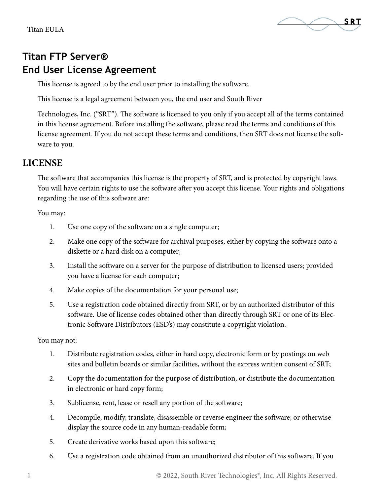

# **Titan FTP Server® End User License Agreement**

This license is agreed to by the end user prior to installing the software.

This license is a legal agreement between you, the end user and South River

Technologies, Inc. ("SRT"). The software is licensed to you only if you accept all of the terms contained in this license agreement. Before installing the software, please read the terms and conditions of this license agreement. If you do not accept these terms and conditions, then SRT does not license the software to you.

## **LICENSE**

The software that accompanies this license is the property of SRT, and is protected by copyright laws. You will have certain rights to use the software after you accept this license. Your rights and obligations regarding the use of this software are:

You may:

- 1. Use one copy of the software on a single computer;
- 2. Make one copy of the software for archival purposes, either by copying the software onto a diskette or a hard disk on a computer;
- 3. Install the software on a server for the purpose of distribution to licensed users; provided you have a license for each computer;
- 4. Make copies of the documentation for your personal use;
- 5. Use a registration code obtained directly from SRT, or by an authorized distributor of this software. Use of license codes obtained other than directly through SRT or one of its Electronic Software Distributors (ESD's) may constitute a copyright violation.

You may not:

- 1. Distribute registration codes, either in hard copy, electronic form or by postings on web sites and bulletin boards or similar facilities, without the express written consent of SRT;
- 2. Copy the documentation for the purpose of distribution, or distribute the documentation in electronic or hard copy form;
- 3. Sublicense, rent, lease or resell any portion of the software;
- 4. Decompile, modify, translate, disassemble or reverse engineer the software; or otherwise display the source code in any human-readable form;
- 5. Create derivative works based upon this software;
- 6. Use a registration code obtained from an unauthorized distributor of this software. If you